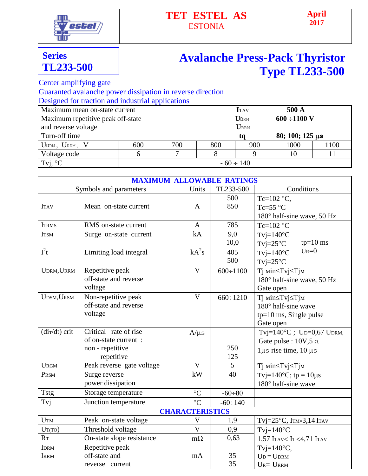

## **TET ESTEL AS** ESTONIA

## **Series TL233-500**

## **Avalanche Press-Pack Thyristor Type TL233-500**

Center amplifying gate

Guaranted avalanche power dissipation in reverse direction

Designed for traction and industrial applications

| Maximum mean on-state current     |                | <b>I</b> TAV | 500 A |                             |      |                           |  |  |
|-----------------------------------|----------------|--------------|-------|-----------------------------|------|---------------------------|--|--|
| Maximum repetitive peak off-state |                |              |       | $\mathbf{U}_{\texttt{DRM}}$ |      | $600 \div 1100 \text{ V}$ |  |  |
| and reverse voltage               |                | URRM         |       |                             |      |                           |  |  |
| Turn-off time                     |                |              |       | ta                          |      | $80; 100; 125 \,\mu s$    |  |  |
| $U_{DRM}$ , $U_{RRM}$ , $V$       | 600            | 700          | 800   | 900                         | 1000 | 1100                      |  |  |
| Voltage code                      |                |              |       |                             | 10   |                           |  |  |
| Tvj, $\mathrm{C}^{\circ}$         | $-60 \div 140$ |              |       |                             |      |                           |  |  |

|                            | <b>MAXIMUM ALLOWABLE RATINGS</b>                                                |                         |                 |                                                                                              |  |  |  |
|----------------------------|---------------------------------------------------------------------------------|-------------------------|-----------------|----------------------------------------------------------------------------------------------|--|--|--|
|                            | Symbols and parameters                                                          | Units                   | TL233-500       | Conditions                                                                                   |  |  |  |
| <b>ITAV</b>                | Mean on-state current                                                           | A                       | 500<br>850      | Tc=102 °C,<br>Tc=55 $\degree$ C<br>180° half-sine wave, 50 Hz                                |  |  |  |
| <b>ITRMS</b>               | RMS on-state current                                                            | $\mathbf{A}$            | 785             | Tc=102 $\degree$ C                                                                           |  |  |  |
| <b>ITSM</b>                | Surge on-state current                                                          | kA                      | 9,0<br>10,0     | $T$ vj=140 $\rm ^{\circ}C$<br>$tp=10$ ms<br>$Tvj=25°C$                                       |  |  |  |
| $I^2t$                     | Limiting load integral                                                          | $kA^2s$                 | 405<br>500      | $U_{R}=0$<br>$T$ vj=140 $\degree$ C<br>$Tvj=25°C$                                            |  |  |  |
| UDRM, URRM                 | Repetitive peak<br>off-state and reverse<br>voltage                             | $\mathbf{V}$            | $600 \div 1100$ | Тј міn≤Тvj≤Тјм<br>180° half-sine wave, 50 Hz<br>Gate open                                    |  |  |  |
| UDSM, URSM                 | Non-repetitive peak<br>off-state and reverse<br>voltage                         | $\overline{\mathsf{V}}$ | $660 \div 1210$ | Ті міn≤Тvj≤Тјм<br>180° half-sine wave<br>tp=10 ms, Single pulse<br>Gate open                 |  |  |  |
| $\frac{di\tau}{dt}$ crit   | Critical rate of rise<br>of on-state current:<br>non - repetitive<br>repetitive | $A/\mu s$               | 250<br>125      | Tvj=140°C; Up=0,67 UpRM,<br>Gate pulse : $10V, 5 \Omega$ ,<br>$1\mu s$ rise time, $10 \mu s$ |  |  |  |
| <b>URGM</b>                | Peak reverse gate voltage                                                       | $\mathbf{V}$            | 5               | Тј міn≤Тvj≤Тјм                                                                               |  |  |  |
| PRSM                       | Surge reverse<br>power dissipation                                              | kW                      | 40              | Tvj=140 $^{\circ}$ C; tp = 10 $\mu$ s<br>$180^\circ$ half-sine wave                          |  |  |  |
| <b>Tstg</b>                | Storage temperature                                                             | $\rm ^{\circ}C$         | $-60 \div 80$   |                                                                                              |  |  |  |
| Tvj                        | Junction temperature                                                            | $\rm ^{\circ}C$         | $-60 \div 140$  |                                                                                              |  |  |  |
| <b>CHARACTERISTICS</b>     |                                                                                 |                         |                 |                                                                                              |  |  |  |
| <b>UTM</b>                 | Peak on-state voltage                                                           | $\mathbf{V}$            | 1,9             | Tvj= $25^{\circ}$ C, ITM= $3,14$ ITAV                                                        |  |  |  |
| $U_T(TO)$                  | Threshold voltage                                                               | $\overline{\mathsf{V}}$ | 0,9             | $T$ vj=140 $\rm{^{\circ}C}$                                                                  |  |  |  |
| R <sub>T</sub>             | On-state slope resistance                                                       | $m\Omega$               | 0,63            | 1,57 ITAV <it<4,71 itav<="" td=""></it<4,71>                                                 |  |  |  |
| <b>IDRM</b><br><b>IRRM</b> | Repetitive peak<br>off-state and<br>reverse current                             | mA                      | 35<br>35        | Tvj= $140^{\circ}$ C,<br>$U_D = U_{DRM}$<br>$U_{R} = U_{RRM}$                                |  |  |  |